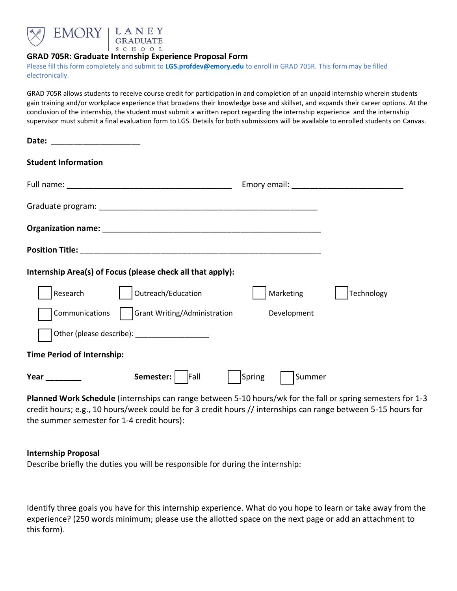



## **GRAD 705R: Graduate Internship Experience Proposal Form**

Please fill this form completely and submit to **[LGS.profdev@emory.edu](mailto:LGS.profdev@emory.edu)** to enroll in GRAD 705R. This form may be filled electronically.

GRAD 705R allows students to receive course credit for participation in and completion of an unpaid internship wherein students gain training and/or workplace experience that broadens their knowledge base and skillset, and expands their career options. At the conclusion of the internship, the student must submit a written report regarding the internship experience and the internship supervisor must submit a final evaluation form to LGS. Details for both submissions will be available to enrolled students on Canvas.

| Date: ________________________    |                                                            |                  |            |
|-----------------------------------|------------------------------------------------------------|------------------|------------|
| <b>Student Information</b>        |                                                            |                  |            |
|                                   |                                                            |                  |            |
|                                   |                                                            |                  |            |
|                                   |                                                            |                  |            |
|                                   |                                                            |                  |            |
|                                   | Internship Area(s) of Focus (please check all that apply): |                  |            |
| Research                          | Outreach/Education                                         | Marketing        | Technology |
| Communications                    | <b>Grant Writing/Administration</b>                        | Development      |            |
|                                   | Other (please describe): ______________________            |                  |            |
| <b>Time Period of Internship:</b> |                                                            |                  |            |
| Year                              | Semester:<br>Fall                                          | Spring<br>Summer |            |

**Planned Work Schedule** (internships can range between 5-10 hours/wk for the fall or spring semesters for 1-3 credit hours; e.g., 10 hours/week could be for 3 credit hours // internships can range between 5-15 hours for the summer semester for 1-4 credit hours):

## **Internship Proposal**

Describe briefly the duties you will be responsible for during the internship:

Identify three goals you have for this internship experience. What do you hope to learn or take away from the experience? (250 words minimum; please use the allotted space on the next page or add an attachment to this form).